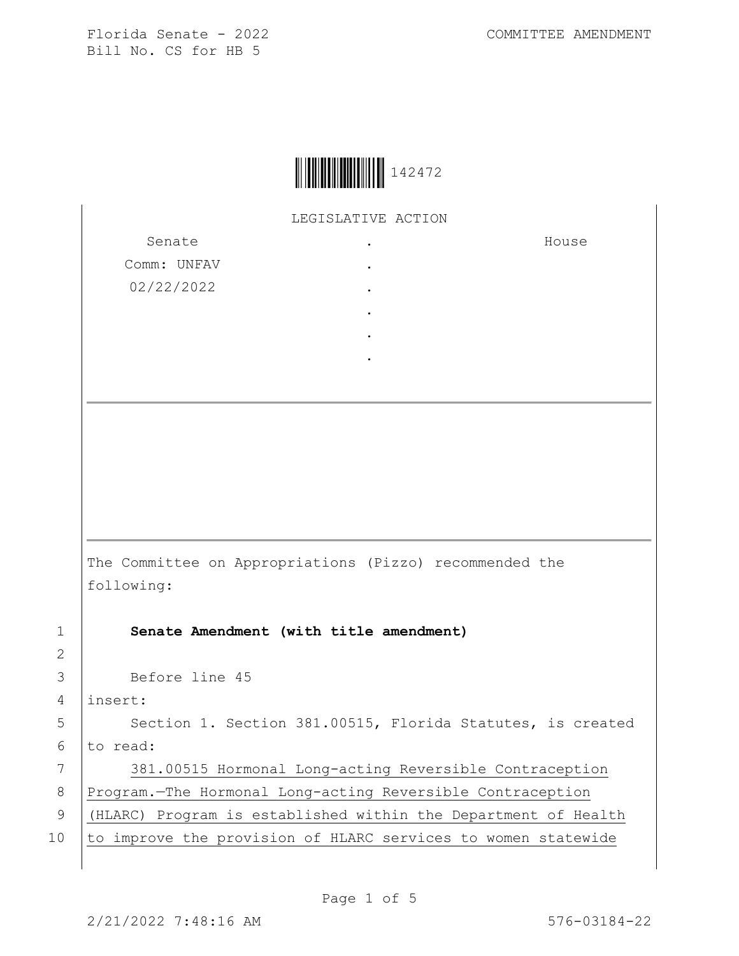|--|

LEGISLATIVE ACTION

Senate Comm: UNFAV 02/22/2022 . . . . . . House The Committee on Appropriations (Pizzo) recommended the following: 1 **Senate Amendment (with title amendment)** 3 Before line 45 4 insert: 5 | Section 1. Section 381.00515, Florida Statutes, is created  $6$  to read: 7 381.00515 Hormonal Long-acting Reversible Contraception 8 Program.—The Hormonal Long-acting Reversible Contraception 9 (HLARC) Program is established within the Department of Health 10 to improve the provision of HLARC services to women statewide

2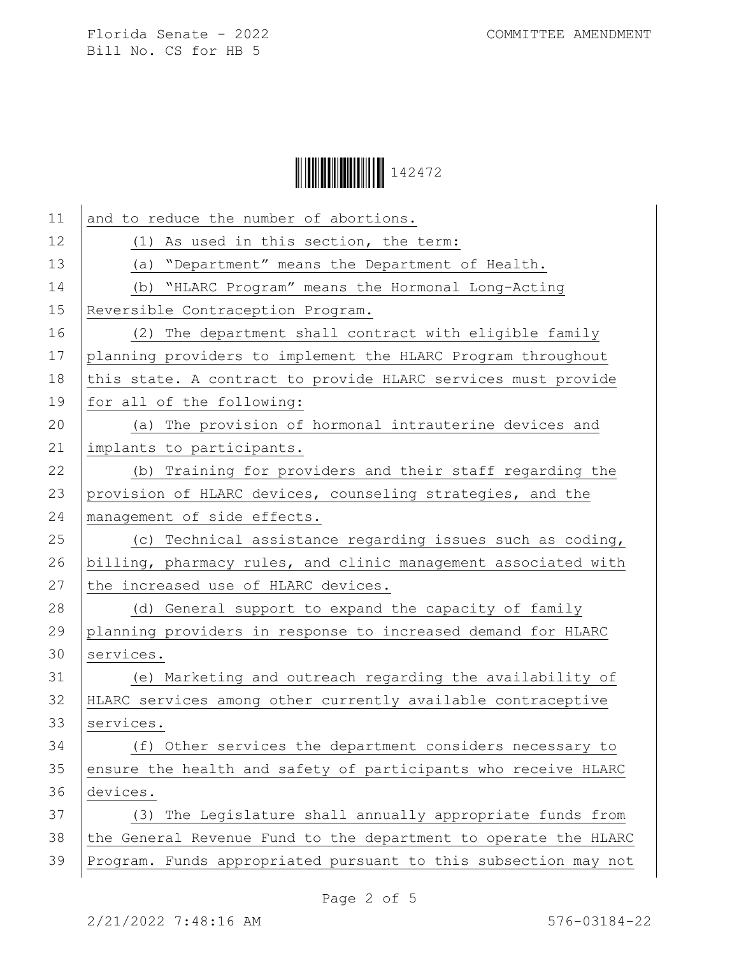

| 11 | and to reduce the number of abortions.                          |
|----|-----------------------------------------------------------------|
| 12 | (1) As used in this section, the term:                          |
| 13 | (a) "Department" means the Department of Health.                |
| 14 | (b) "HLARC Program" means the Hormonal Long-Acting              |
| 15 | Reversible Contraception Program.                               |
| 16 | (2) The department shall contract with eligible family          |
| 17 | planning providers to implement the HLARC Program throughout    |
| 18 | this state. A contract to provide HLARC services must provide   |
| 19 | for all of the following:                                       |
| 20 | (a) The provision of hormonal intrauterine devices and          |
| 21 | implants to participants.                                       |
| 22 | (b) Training for providers and their staff regarding the        |
| 23 | provision of HLARC devices, counseling strategies, and the      |
| 24 | management of side effects.                                     |
| 25 | (c) Technical assistance regarding issues such as coding,       |
| 26 | billing, pharmacy rules, and clinic management associated with  |
| 27 | the increased use of HLARC devices.                             |
| 28 | (d) General support to expand the capacity of family            |
| 29 | planning providers in response to increased demand for HLARC    |
| 30 | services.                                                       |
| 31 | (e) Marketing and outreach regarding the availability of        |
| 32 | HLARC services among other currently available contraceptive    |
| 33 | services.                                                       |
| 34 | (f) Other services the department considers necessary to        |
| 35 | ensure the health and safety of participants who receive HLARC  |
| 36 | devices.                                                        |
| 37 | (3) The Legislature shall annually appropriate funds from       |
| 38 | the General Revenue Fund to the department to operate the HLARC |
| 39 | Program. Funds appropriated pursuant to this subsection may not |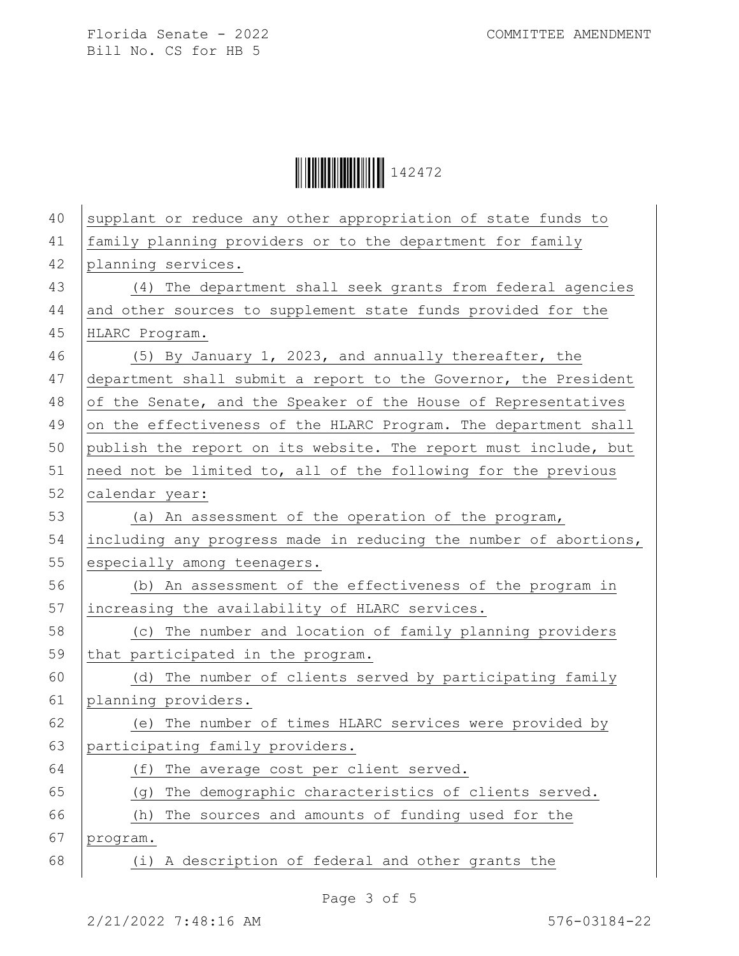Ì142472#Î142472

| 40 | supplant or reduce any other appropriation of state funds to     |
|----|------------------------------------------------------------------|
| 41 | family planning providers or to the department for family        |
| 42 | planning services.                                               |
| 43 | (4) The department shall seek grants from federal agencies       |
| 44 | and other sources to supplement state funds provided for the     |
| 45 | HLARC Program.                                                   |
| 46 | (5) By January 1, 2023, and annually thereafter, the             |
| 47 | department shall submit a report to the Governor, the President  |
| 48 | of the Senate, and the Speaker of the House of Representatives   |
| 49 | on the effectiveness of the HLARC Program. The department shall  |
| 50 | publish the report on its website. The report must include, but  |
| 51 | need not be limited to, all of the following for the previous    |
| 52 | calendar year:                                                   |
| 53 | (a) An assessment of the operation of the program,               |
| 54 | including any progress made in reducing the number of abortions, |
| 55 | especially among teenagers.                                      |
| 56 | (b) An assessment of the effectiveness of the program in         |
| 57 | increasing the availability of HLARC services.                   |
| 58 | (c) The number and location of family planning providers         |
| 59 | that participated in the program.                                |
| 60 | (d) The number of clients served by participating family         |
| 61 | planning providers.                                              |
| 62 | (e) The number of times HLARC services were provided by          |
| 63 | participating family providers.                                  |
| 64 | The average cost per client served.<br>(f)                       |
| 65 | The demographic characteristics of clients served.<br>(g)        |
| 66 | The sources and amounts of funding used for the<br>(h)           |
| 67 | program.                                                         |
| 68 | A description of federal and other grants the<br>(i)             |
|    |                                                                  |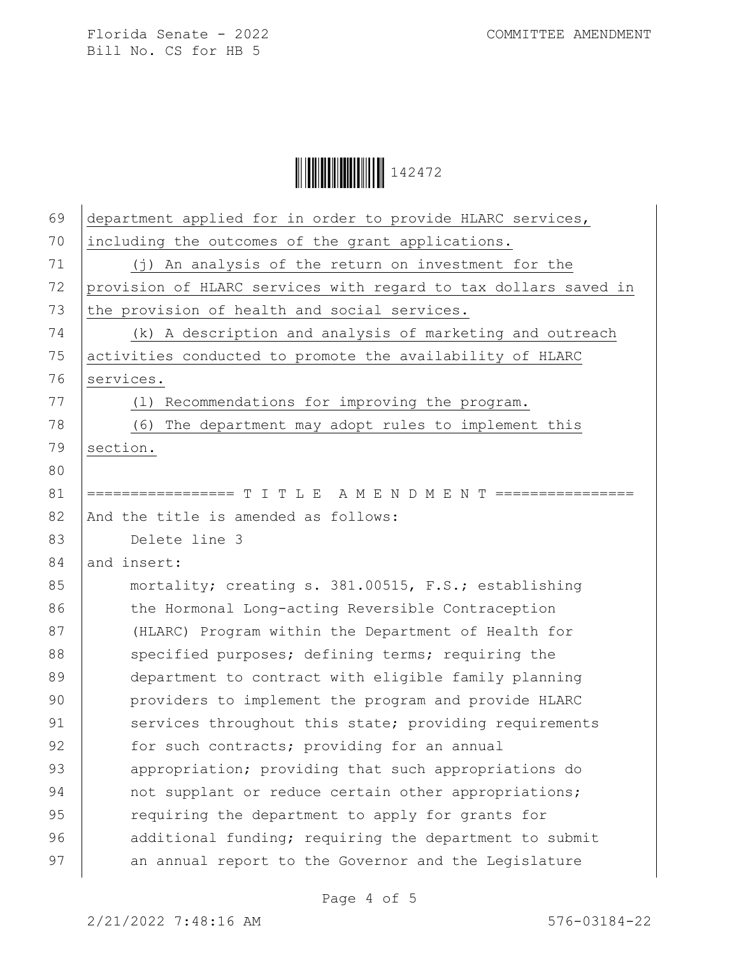

| 69 | department applied for in order to provide HLARC services,      |
|----|-----------------------------------------------------------------|
| 70 | including the outcomes of the grant applications.               |
| 71 | (j) An analysis of the return on investment for the             |
| 72 | provision of HLARC services with regard to tax dollars saved in |
| 73 | the provision of health and social services.                    |
| 74 | (k) A description and analysis of marketing and outreach        |
| 75 | activities conducted to promote the availability of HLARC       |
| 76 | services.                                                       |
| 77 | (1) Recommendations for improving the program.                  |
| 78 | (6) The department may adopt rules to implement this            |
| 79 | section.                                                        |
| 80 |                                                                 |
| 81 | ================= T I T L E A M E N D M E N T ======            |
| 82 | And the title is amended as follows:                            |
| 83 | Delete line 3                                                   |
| 84 | and insert:                                                     |
| 85 | mortality; creating s. 381.00515, F.S.; establishing            |
| 86 | the Hormonal Long-acting Reversible Contraception               |
| 87 | (HLARC) Program within the Department of Health for             |
| 88 | specified purposes; defining terms; requiring the               |
| 89 | department to contract with eligible family planning            |
| 90 | providers to implement the program and provide HLARC            |
| 91 | services throughout this state; providing requirements          |
| 92 | for such contracts; providing for an annual                     |
| 93 | appropriation; providing that such appropriations do            |
| 94 | not supplant or reduce certain other appropriations;            |
| 95 | requiring the department to apply for grants for                |
| 96 | additional funding; requiring the department to submit          |
| 97 | an annual report to the Governor and the Legislature            |
|    |                                                                 |